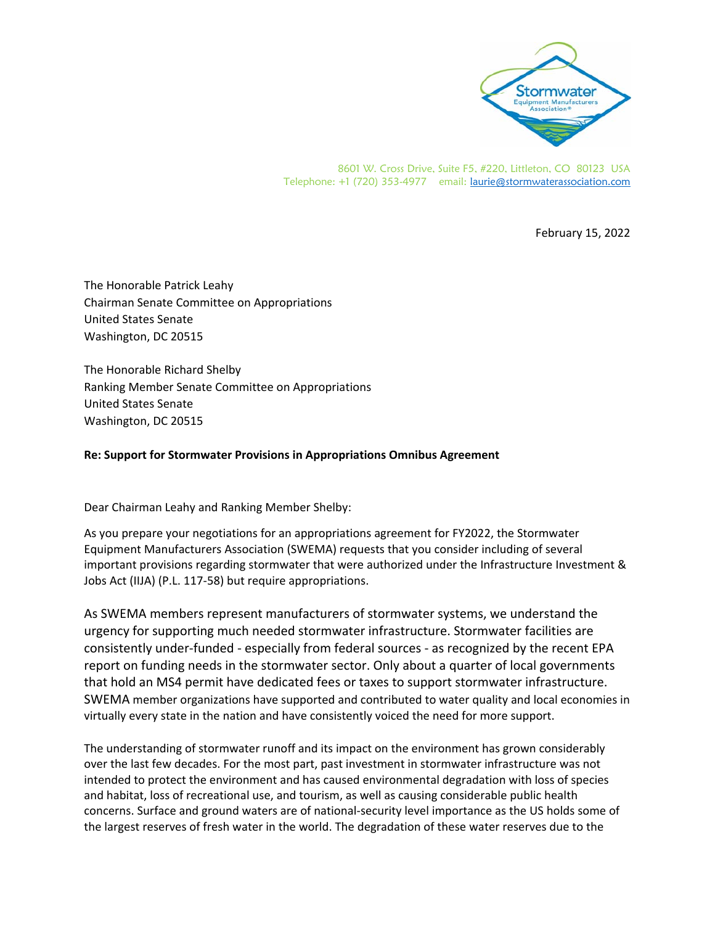

8601 W. Cross Drive, Suite F5, #220, Littleton, CO 80123 USA Telephone: +1 (720) 353-4977 email: laurie@stormwaterassociation.com

February 15, 2022

The Honorable Patrick Leahy Chairman Senate Committee on Appropriations United States Senate Washington, DC 20515

The Honorable Richard Shelby Ranking Member Senate Committee on Appropriations United States Senate Washington, DC 20515

## **Re: Support for Stormwater Provisions in Appropriations Omnibus Agreement**

Dear Chairman Leahy and Ranking Member Shelby:

As you prepare your negotiations for an appropriations agreement for FY2022, the Stormwater Equipment Manufacturers Association (SWEMA) requests that you consider including of several important provisions regarding stormwater that were authorized under the Infrastructure Investment & Jobs Act (IIJA) (P.L. 117‐58) but require appropriations.

As SWEMA members represent manufacturers of stormwater systems, we understand the urgency for supporting much needed stormwater infrastructure. Stormwater facilities are consistently under‐funded ‐ especially from federal sources ‐ as recognized by the recent EPA report on funding needs in the stormwater sector. Only about a quarter of local governments that hold an MS4 permit have dedicated fees or taxes to support stormwater infrastructure. SWEMA member organizations have supported and contributed to water quality and local economies in virtually every state in the nation and have consistently voiced the need for more support.

The understanding of stormwater runoff and its impact on the environment has grown considerably over the last few decades. For the most part, past investment in stormwater infrastructure was not intended to protect the environment and has caused environmental degradation with loss of species and habitat, loss of recreational use, and tourism, as well as causing considerable public health concerns. Surface and ground waters are of national‐security level importance as the US holds some of the largest reserves of fresh water in the world. The degradation of these water reserves due to the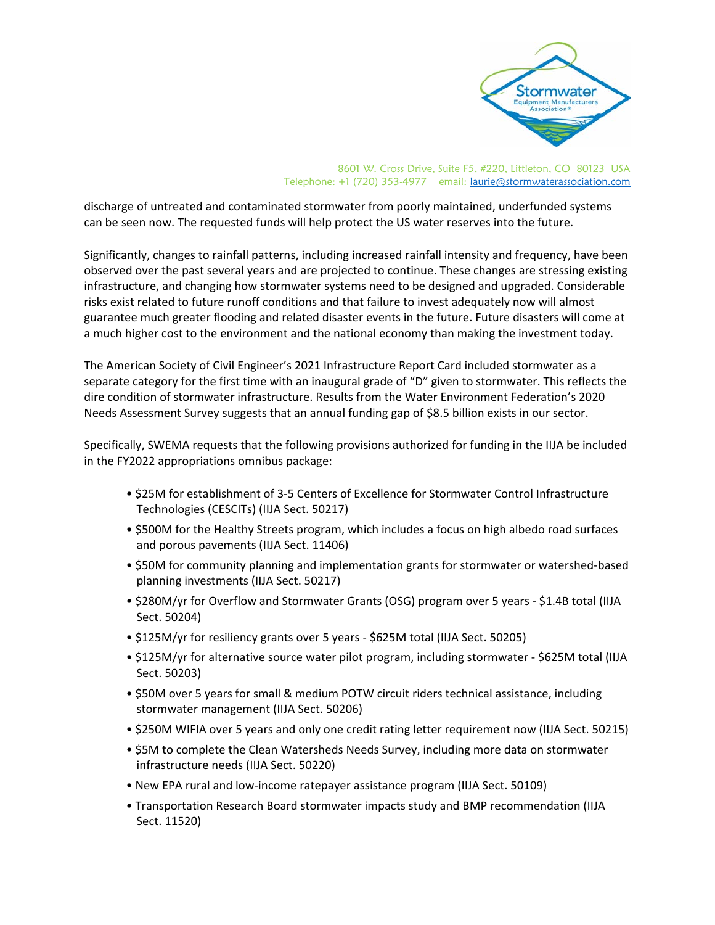

## 8601 W. Cross Drive, Suite F5, #220, Littleton, CO 80123 USA Telephone: +1 (720) 353-4977 email: laurie@stormwaterassociation.com

discharge of untreated and contaminated stormwater from poorly maintained, underfunded systems can be seen now. The requested funds will help protect the US water reserves into the future.

Significantly, changes to rainfall patterns, including increased rainfall intensity and frequency, have been observed over the past several years and are projected to continue. These changes are stressing existing infrastructure, and changing how stormwater systems need to be designed and upgraded. Considerable risks exist related to future runoff conditions and that failure to invest adequately now will almost guarantee much greater flooding and related disaster events in the future. Future disasters will come at a much higher cost to the environment and the national economy than making the investment today.

The American Society of Civil Engineer's 2021 Infrastructure Report Card included stormwater as a separate category for the first time with an inaugural grade of "D" given to stormwater. This reflects the dire condition of stormwater infrastructure. Results from the Water Environment Federation's 2020 Needs Assessment Survey suggests that an annual funding gap of \$8.5 billion exists in our sector.

Specifically, SWEMA requests that the following provisions authorized for funding in the IIJA be included in the FY2022 appropriations omnibus package:

- \$25M for establishment of 3‐5 Centers of Excellence for Stormwater Control Infrastructure Technologies (CESCITs) (IIJA Sect. 50217)
- \$500M for the Healthy Streets program, which includes a focus on high albedo road surfaces and porous pavements (IIJA Sect. 11406)
- \$50M for community planning and implementation grants for stormwater or watershed‐based planning investments (IIJA Sect. 50217)
- \$280M/yr for Overflow and Stormwater Grants (OSG) program over 5 years ‐ \$1.4B total (IIJA Sect. 50204)
- \$125M/yr for resiliency grants over 5 years ‐ \$625M total (IIJA Sect. 50205)
- \$125M/yr for alternative source water pilot program, including stormwater ‐ \$625M total (IIJA Sect. 50203)
- \$50M over 5 years for small & medium POTW circuit riders technical assistance, including stormwater management (IIJA Sect. 50206)
- \$250M WIFIA over 5 years and only one credit rating letter requirement now (IIJA Sect. 50215)
- \$5M to complete the Clean Watersheds Needs Survey, including more data on stormwater infrastructure needs (IIJA Sect. 50220)
- New EPA rural and low‐income ratepayer assistance program (IIJA Sect. 50109)
- Transportation Research Board stormwater impacts study and BMP recommendation (IIJA Sect. 11520)